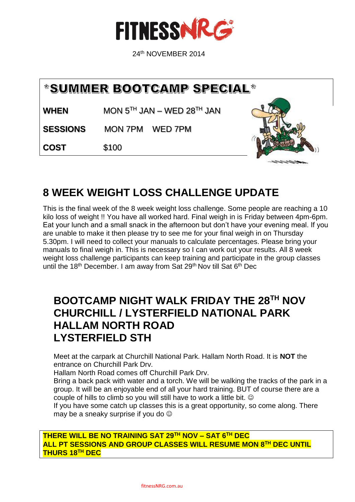

24th NOVEMBER 2014

# \*SUMMER BOOTCAMP SPECIAL\*

**WHEN** MON  $5^{TH}$  JAN – WED  $28^{TH}$  JAN

**SESSIONS** MON 7PM WED 7PM

**COST** \$100



# **8 WEEK WEIGHT LOSS CHALLENGE UPDATE**

This is the final week of the 8 week weight loss challenge. Some people are reaching a 10 kilo loss of weight !! You have all worked hard. Final weigh in is Friday between 4pm-6pm. Eat your lunch and a small snack in the afternoon but don't have your evening meal. If you are unable to make it then please try to see me for your final weigh in on Thursday 5.30pm. I will need to collect your manuals to calculate percentages. Please bring your manuals to final weigh in. This is necessary so I can work out your results. All 8 week weight loss challenge participants can keep training and participate in the group classes until the 18<sup>th</sup> December. I am away from Sat 29<sup>th</sup> Nov till Sat 6<sup>th</sup> Dec

### **BOOTCAMP NIGHT WALK FRIDAY THE 28TH NOV CHURCHILL / LYSTERFIELD NATIONAL PARK HALLAM NORTH ROAD LYSTERFIELD STH**

Meet at the carpark at Churchill National Park. Hallam North Road. It is **NOT** the entrance on Churchill Park Drv.

Hallam North Road comes off Churchill Park Drv.

Bring a back pack with water and a torch. We will be walking the tracks of the park in a group. It will be an enjoyable end of all your hard training. BUT of course there are a couple of hills to climb so you will still have to work a little bit.

If you have some catch up classes this is a great opportunity, so come along. There may be a sneaky surprise if you do

**THERE WILL BE NO TRAINING SAT 29TH NOV – SAT 6TH DEC ALL PT SESSIONS AND GROUP CLASSES WILL RESUME MON 8TH DEC UNTIL THURS 18TH DEC**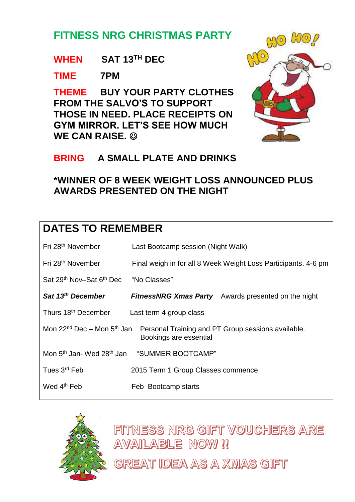# **FITNESS NRG CHRISTMAS PARTY**

#### **WHEN SAT 13TH DEC**

#### **TIME 7PM**

**THEME BUY YOUR PARTY CLOTHES FROM THE SALVO'S TO SUPPORT THOSE IN NEED. PLACE RECEIPTS ON GYM MIRROR. LET'S SEE HOW MUCH WE CAN RAISE.** 



#### **BRING A SMALL PLATE AND DRINKS**

### **\*WINNER OF 8 WEEK WEIGHT LOSS ANNOUNCED PLUS AWARDS PRESENTED ON THE NIGHT**

# **DATES TO REMEMBER**

| Fri 28 <sup>th</sup> November                                 | Last Bootcamp session (Night Walk)                                                                                              |  |
|---------------------------------------------------------------|---------------------------------------------------------------------------------------------------------------------------------|--|
| Fri 28 <sup>th</sup> November                                 | Final weigh in for all 8 Week Weight Loss Participants. 4-6 pm                                                                  |  |
| Sat 29 <sup>th</sup> Nov-Sat 6 <sup>th</sup> Dec "No Classes" |                                                                                                                                 |  |
| Sat 13 <sup>th</sup> December                                 | <b>FitnessNRG Xmas Party</b> Awards presented on the night                                                                      |  |
| Thurs 18 <sup>th</sup> December<br>Last term 4 group class    |                                                                                                                                 |  |
|                                                               | Mon 22 <sup>nd</sup> Dec – Mon 5 <sup>th</sup> Jan Personal Training and PT Group sessions available.<br>Bookings are essential |  |
|                                                               | Mon 5 <sup>th</sup> Jan- Wed 28 <sup>th</sup> Jan "SUMMER BOOTCAMP"                                                             |  |
| Tues 3 <sup>rd</sup> Feb                                      | 2015 Term 1 Group Classes commence                                                                                              |  |
| Wed 4 <sup>th</sup> Feb                                       | Feb Bootcamp starts                                                                                                             |  |



FITNESS NRG GIFT VOUCHERS ARE **AVAILABLE NOW!!** 

GREAT IDEA AS A XMAS GIFT